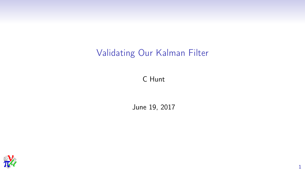## Validating Our Kalman Filter

C Hunt

June 19, 2017

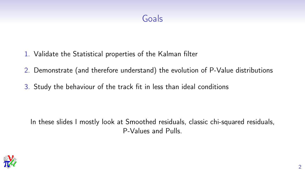## Goals

- 1. Validate the Statistical properties of the Kalman filter
- 2. Demonstrate (and therefore understand) the evolution of P-Value distributions
- 3. Study the behaviour of the track fit in less than ideal conditions

In these slides I mostly look at Smoothed residuals, classic chi-squared residuals, P-Values and Pulls.

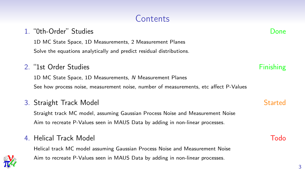## Contents

# 1D MC State Space, 1D Measurements, 2 Measurement Planes

Solve the equations analytically and predict residual distributions.

#### 2. "1st Order Studies Finishing" and the studies of the studies of the studies of the studies of the studies of the studies of the studies of the studies of the studies of the studies of the studies of the studies of the s

1D MC State Space, 1D Measurements, N Measurement Planes See how process noise, measurement noise, number of measurements, etc affect P-Values

#### 3. Straight Track Model Started Started Started

Straight track MC model, assuming Gaussian Process Noise and Measurement Noise Aim to recreate P-Values seen in MAUS Data by adding in non-linear processes.

#### 4. Helical Track Model Todo

*MICE*

Helical track MC model assuming Gaussian Process Noise and Measurement Noise Aim to recreate P-Values seen in MAUS Data by adding in non-linear processes.

1. "0th-Order" Studies Done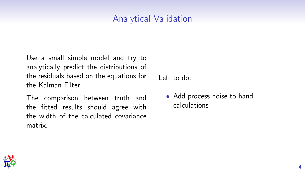### Analytical Validation

Use a small simple model and try to analytically predict the distributions of the residuals based on the equations for the Kalman Filter.

The comparison between truth and the fitted results should agree with the width of the calculated covariance matrix.

Left to do:

• Add process noise to hand calculations

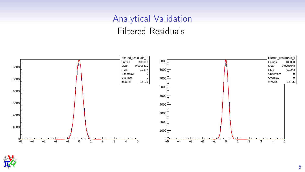# Analytical Validation Filtered Residuals



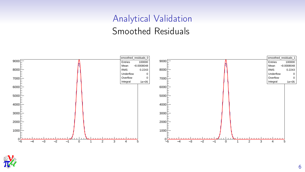# Analytical Validation Smoothed Residuals



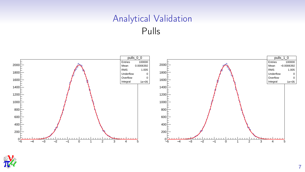## Analytical Validation Pulls



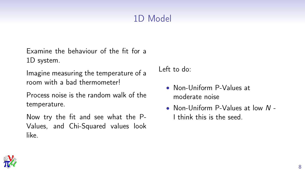# 1D Model

Examine the behaviour of the fit for a 1D system.

Imagine measuring the temperature of a room with a bad thermometer!

Process noise is the random walk of the temperature.

Now try the fit and see what the P-Values, and Chi-Squared values look like.

Left to do:

- Non-Uniform P-Values at moderate noise
- Non-Uniform P-Values at low N I think this is the seed.

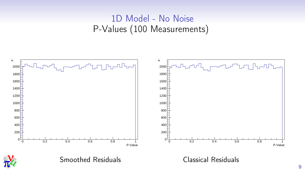## 1D Model - No Noise P-Values (100 Measurements)

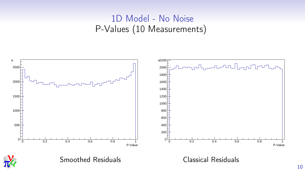## 1D Model - No Noise P-Values (10 Measurements)

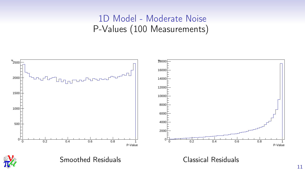## 1D Model - Moderate Noise P-Values (100 Measurements)